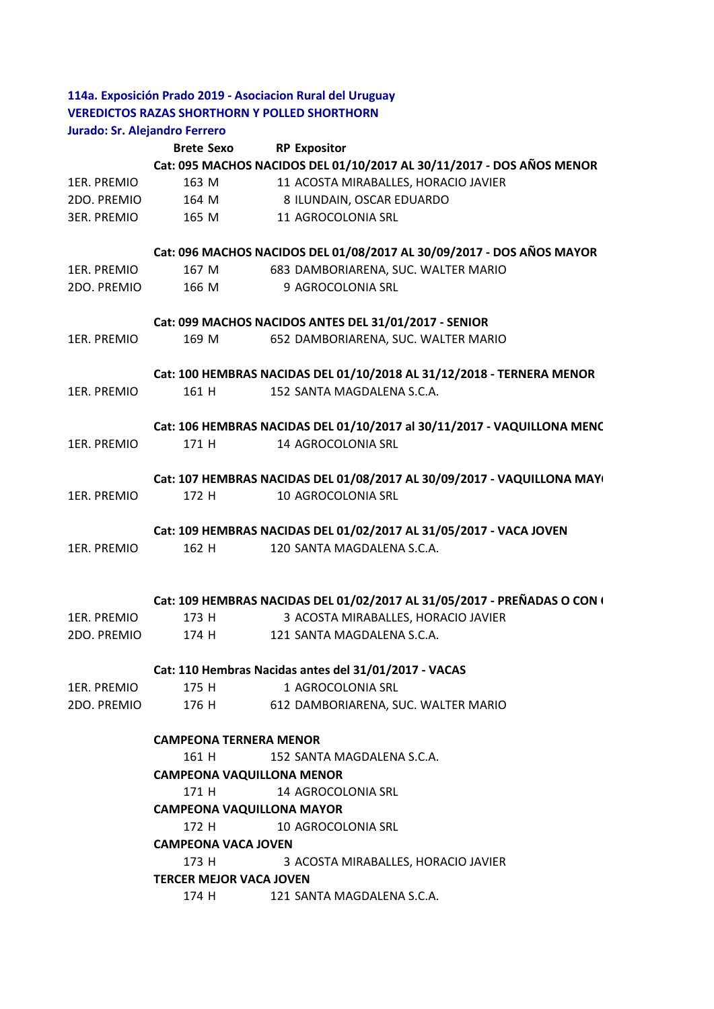|             | Jurado: Sr. Alejandro Ferrero                |                                                                          |
|-------------|----------------------------------------------|--------------------------------------------------------------------------|
|             | <b>Brete Sexo</b>                            | <b>RP Expositor</b>                                                      |
|             |                                              | Cat: 095 MACHOS NACIDOS DEL 01/10/2017 AL 30/11/2017 - DOS AÑOS MENOR    |
| 1ER. PREMIO | 163 M                                        | 11 ACOSTA MIRABALLES, HORACIO JAVIER                                     |
| 2DO. PREMIO |                                              | 164 M 8 ILUNDAIN, OSCAR EDUARDO                                          |
| 3ER. PREMIO | 165 M                                        | 11 AGROCOLONIA SRL                                                       |
|             |                                              | Cat: 096 MACHOS NACIDOS DEL 01/08/2017 AL 30/09/2017 - DOS AÑOS MAYOR    |
| 1ER. PREMIO | 167 M                                        | 683 DAMBORIARENA, SUC. WALTER MARIO                                      |
| 2DO. PREMIO | 166 M                                        | 9 AGROCOLONIA SRL                                                        |
|             |                                              | Cat: 099 MACHOS NACIDOS ANTES DEL 31/01/2017 - SENIOR                    |
| 1ER. PREMIO | 169 M                                        | 652 DAMBORIARENA, SUC. WALTER MARIO                                      |
|             |                                              | Cat: 100 HEMBRAS NACIDAS DEL 01/10/2018 AL 31/12/2018 - TERNERA MENOR    |
| 1ER. PREMIO | 161 H                                        | 152 SANTA MAGDALENA S.C.A.                                               |
|             |                                              | Cat: 106 HEMBRAS NACIDAS DEL 01/10/2017 al 30/11/2017 - VAQUILLONA MENC  |
| 1ER. PREMIO | 171 H                                        | 14 AGROCOLONIA SRL                                                       |
|             |                                              | Cat: 107 HEMBRAS NACIDAS DEL 01/08/2017 AL 30/09/2017 - VAQUILLONA MAY(  |
| 1ER. PREMIO | 172 H                                        | 10 AGROCOLONIA SRL                                                       |
|             |                                              | Cat: 109 HEMBRAS NACIDAS DEL 01/02/2017 AL 31/05/2017 - VACA JOVEN       |
| 1ER. PREMIO | 162 H                                        | 120 SANTA MAGDALENA S.C.A.                                               |
|             |                                              | Cat: 109 HEMBRAS NACIDAS DEL 01/02/2017 AL 31/05/2017 - PREÑADAS O CON ( |
| 1ER. PREMIO | 173 H                                        | 3 ACOSTA MIRABALLES, HORACIO JAVIER                                      |
| 2DO. PREMIO | 174 H                                        | 121 SANTA MAGDALENA S.C.A.                                               |
|             |                                              | Cat: 110 Hembras Nacidas antes del 31/01/2017 - VACAS                    |
| 1ER. PREMIO | 175 H                                        | 1 AGROCOLONIA SRL                                                        |
| 2DO. PREMIO | 176 H                                        | 612 DAMBORIARENA, SUC. WALTER MARIO                                      |
|             | <b>CAMPEONA TERNERA MENOR</b>                |                                                                          |
|             | 161 H<br>152 SANTA MAGDALENA S.C.A.          |                                                                          |
|             | <b>CAMPEONA VAQUILLONA MENOR</b>             |                                                                          |
|             | 171 H<br>14 AGROCOLONIA SRL                  |                                                                          |
|             | <b>CAMPEONA VAQUILLONA MAYOR</b>             |                                                                          |
|             | 172 H<br>10 AGROCOLONIA SRL                  |                                                                          |
|             | <b>CAMPEONA VACA JOVEN</b>                   |                                                                          |
|             | 173 H<br>3 ACOSTA MIRABALLES, HORACIO JAVIER |                                                                          |
|             | <b>TERCER MEJOR VACA JOVEN</b>               |                                                                          |
|             | 174 H                                        | 121 SANTA MAGDALENA S.C.A.                                               |
|             |                                              |                                                                          |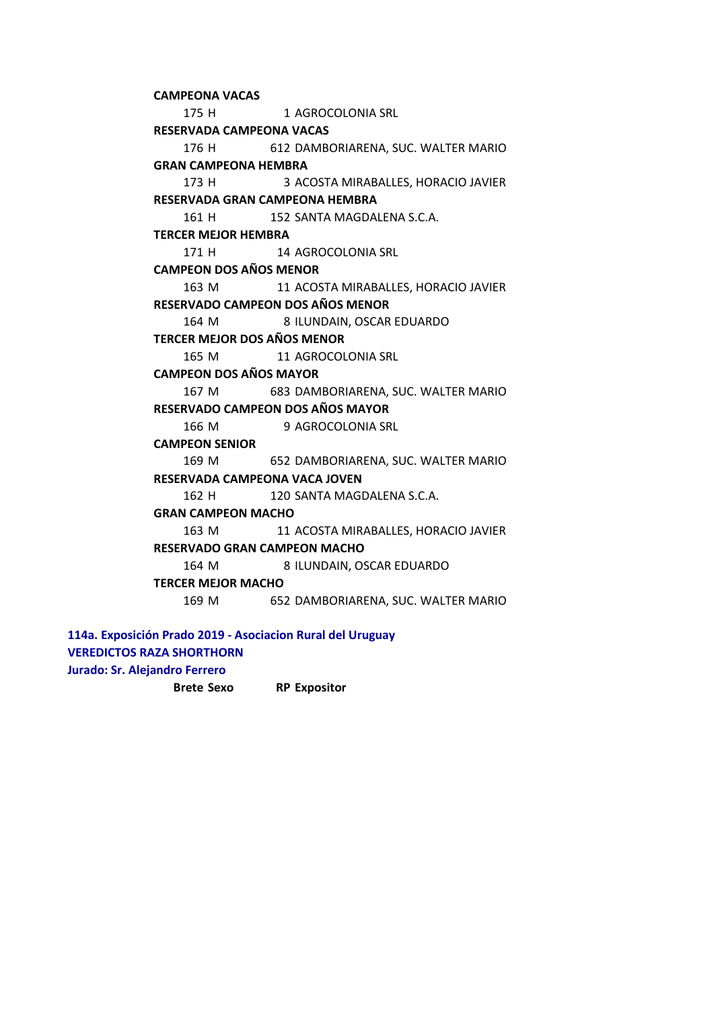175 H 1 AGROCOLONIA SRL 176 H 612 DAMBORIARENA, SUC. WALTER MARIO 173 H 3 ACOSTA MIRABALLES, HORACIO JAVIER 161 H 152 SANTA MAGDALENA S.C.A. 171 H 14 AGROCOLONIA SRL 163 M 11 ACOSTA MIRABALLES, HORACIO JAVIER 164 M 8 ILUNDAIN, OSCAR EDUARDO 165 M 11 AGROCOLONIA SRL 167 M 683 DAMBORIARENA, SUC. WALTER MARIO 166 M 9 AGROCOLONIA SRL 169 M 652 DAMBORIARENA, SUC. WALTER MARIO 162 H 120 SANTA MAGDALENA S.C.A. 163 M 11 ACOSTA MIRABALLES, HORACIO JAVIER 164 M 8 ILUNDAIN, OSCAR EDUARDO 169 M 652 DAMBORIARENA, SUC. WALTER MARIO **CAMPEON DOS AÑOS MENOR RESERVADA GRAN CAMPEONA HEMBRA GRAN CAMPEON MACHO RESERVADO GRAN CAMPEON MACHO TERCER MEJOR MACHO RESERVADO CAMPEON DOS AÑOS MENOR TERCER MEJOR DOS AÑOS MENOR CAMPEON DOS AÑOS MAYOR RESERVADO CAMPEON DOS AÑOS MAYOR CAMPEON SENIOR RESERVADA CAMPEONA VACA JOVEN CAMPEONA VACAS RESERVADA CAMPEONA VACAS GRAN CAMPEONA HEMBRA TERCER MEJOR HEMBRA** 

## **114a. Exposición Prado 2019 - Asociacion Rural del Uruguay VEREDICTOS RAZA SHORTHORN**

**Jurado: Sr. Alejandro Ferrero** 

**Brete Sexo RP Expositor**